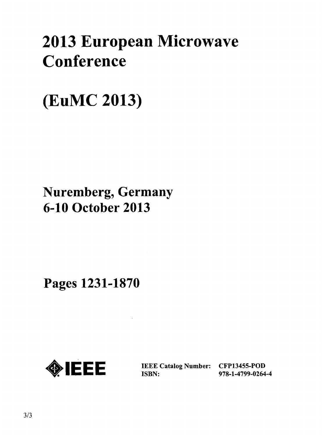# 2013 European Microwave Conference

## (EuMC 2013)

## Nuremberg, Germany 6-10 October 2013

Pages 1231-1870



IEEE Catalog Number: CFP13455-POD<br>ISBN: 978-1-4799-0264

ISBN: 978-1-4799-0264-4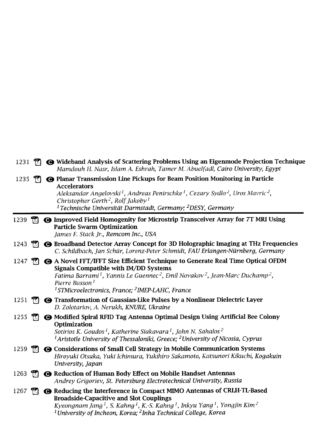| $1231$ m           |              | <b>← Wideband Analysis of Scattering Problems Using an Eigenmode Projection Technique</b><br>Mamdouh H. Nasr, Islam A. Eshrah, Tamer M. Abuelfadl, Cairo University, Egypt                                                                                                                                                                                                                    |
|--------------------|--------------|-----------------------------------------------------------------------------------------------------------------------------------------------------------------------------------------------------------------------------------------------------------------------------------------------------------------------------------------------------------------------------------------------|
| 1235 $\frac{1}{2}$ |              | <b>O Planar Transmission Line Pickups for Beam Position Monitoring in Particle</b><br><b>Accelerators</b><br>Aleksandar Angelovski <sup>1</sup> , Andreas Penirschke <sup>1</sup> , Cezary Sydlo <sup>2</sup> , Uros Mavric <sup>2</sup> ,<br>Christopher Gerth <sup>2</sup> , Rolf Jakoby <sup>1</sup><br><sup>1</sup> Technische Universität Darmstadt, Germany; <sup>2</sup> DESY, Germany |
| 1239               | $\mathbb{R}$ | <b>O Improved Field Homogenity for Microstrip Transceiver Array for 7T MRI Using</b><br><b>Particle Swarm Optimization</b><br>James F. Stack Jr., Remcom Inc., USA                                                                                                                                                                                                                            |
| 1243               | m            | → Broadband Detector Array Concept for 3D Holographic Imaging at THz Frequencies<br>C. Schildbach, Jan Schür, Lorenz-Peter Schmidt, FAU Erlangen-Nürnberg, Germany                                                                                                                                                                                                                            |
| 1247               | $\mathbb{R}$ | <b>← A Novel FFT/IFFT Size Efficient Technique to Generate Real Time Optical OFDM</b><br><b>Signals Compatible with IM/DD Systems</b><br>Fatima Barrami <sup>1</sup> , Yannis Le Guennec <sup>2</sup> , Emil Novakov <sup>2</sup> , Jean-Marc Duchamp <sup>2</sup> ,<br>Pierre Busson <sup>1</sup><br><sup>1</sup> STMicroelectronics, France; <sup>2</sup> IMEP-LAHC, France                 |
| 1251               | m            | <b>G</b> Transformation of Gaussian-Like Pulses by a Nonlinear Dielectric Layer<br>D. Zolotariov, A. Nerukh, KNURE, Ukraine                                                                                                                                                                                                                                                                   |
| 1255               | T.           | <b>@ Modified Spiral RFID Tag Antenna Optimal Design Using Artificial Bee Colony</b><br>Optimization<br>Sotirios K. Goudos <sup>1</sup> , Katherine Siakavara <sup>1</sup> , John N. Sahalos <sup>2</sup><br><sup>1</sup> Aristotle University of Thessaloniki, Greece; <sup>2</sup> University of Nicosia, Cyprus                                                                            |
| 1259               | $\mathbb{F}$ | <b>@</b> Considerations of Small Cell Strategy in Mobile Communication Systems<br>Hiroyuki Otsuka, Yuki Ichimura, Yukihiro Sakamoto, Katsunori Kikuchi, Kogakuin<br>University, Japan                                                                                                                                                                                                         |
| 1263               | m            | Reduction of Human Body Effect on Mobile Handset Antennas<br>Andrey Grigoriev, St. Petersburg Electrotechnical University, Russia                                                                                                                                                                                                                                                             |
| 1267               | m.           | ← Reducing the Interference in Compact MIMO Antennas of CRLH-TL-Based<br><b>Broadside-Capacitive and Slot Couplings</b><br>Kyeongnam Jang <sup>1</sup> , S. Kahng <sup>1</sup> , K.-S. Kahng <sup>1</sup> , Inkyu Yang <sup>1</sup> , Yongjin Kim <sup>2</sup><br><sup>1</sup> University of Incheon, Korea; <sup>2</sup> Inha Technical College, Korea                                       |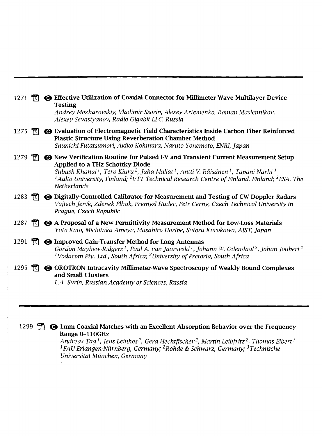| 1271 |     | <b>G</b> Effective Utilization of Coaxial Connector for Millimeter Wave Multilayer Device<br><b>Testing</b><br>Andrey Mozharovskiy, Vladimir Ssorin, Alexey Artemenko, Roman Maslennikov,<br>Alexey Sevastyanov, Radio Gigabit LLC, Russia                                                                                                                                                                                                             |
|------|-----|--------------------------------------------------------------------------------------------------------------------------------------------------------------------------------------------------------------------------------------------------------------------------------------------------------------------------------------------------------------------------------------------------------------------------------------------------------|
| 1275 |     | $\mathbb{R}$ $\bullet$ Evaluation of Electromagnetic Field Characteristics Inside Carbon Fiber Reinforced<br><b>Plastic Structure Using Reverberation Chamber Method</b><br>Shunichi Futatsumori, Akiko Kohmura, Naruto Yonemoto, ENRI, Japan                                                                                                                                                                                                          |
| 1279 |     | $\mathbb{T}$ $\Theta$ New Verification Routine for Pulsed I-V and Transient Current Measurement Setup<br><b>Applied to a THz Schottky Diode</b><br>Subash Khanal <sup>1</sup> , Tero Kiuru <sup>2</sup> , Juha Mallat <sup>1</sup> , Antti V. Räisänen <sup>1</sup> , Tapani Närhi <sup>3</sup><br><sup>1</sup> Aalto University, Finland; <sup>2</sup> VTT Technical Research Centre of Finland, Finland; <sup>3</sup> ESA, The<br><b>Netherlands</b> |
| 1283 |     | <b>G</b> Digitally-Controlled Calibrator for Measurement and Testing of CW Doppler Radars<br>Vojtech Jenik, Zdenek Plhak, Premysl Hudec, Petr Cerny, Czech Technical University in<br>Prague, Czech Republic                                                                                                                                                                                                                                           |
| 1287 | T.I | A Proposal of a New Permittivity Measurement Method for Low-Loss Materials<br>Yuto Kato, Michitaka Ameya, Masahiro Horibe, Satoru Kurokawa, AIST, Japan                                                                                                                                                                                                                                                                                                |
| 1291 | ŤЛ  | <b>G</b> Improved Gain-Transfer Method for Long Antennas<br>Gordon Mayhew-Ridgers <sup>1</sup> , Paul A. van Jaarsveld <sup>1</sup> , Johann W. Odendaal <sup>2</sup> , Johan Joubert <sup>2</sup><br><sup>1</sup> Vodacom Pty. Ltd., South Africa; <sup>2</sup> University of Pretoria, South Africa                                                                                                                                                  |
| 1295 |     | <b>G</b> OROTRON Intracavity Millimeter-Wave Spectroscopy of Weakly Bound Complexes<br>and Small Clusters<br>L.A. Surin, Russian Academy of Sciences, Russia                                                                                                                                                                                                                                                                                           |

1299 **\*\***  $\bullet$  1mm Coaxial Matches with an Excellent Absorption Behavior over the Frequency Range 0-110GHz

> Andreas Tag <sup>1</sup>, Jens Leinhos  $^2$ , Gerd Hechtfischer  $^2$ , Martin Leibfritz  $^2$ , Thomas Eibert  $^3$  $^1$ FAU Erlangen-Nürnberg, Germany;  $^2$ Rohde & Schwarz, Germany;  $^3$ Technische Universität München, Germany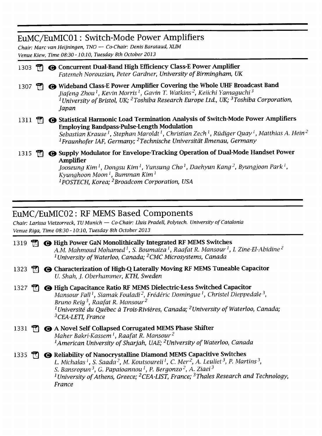#### EuMC/EuMICOl: Switch-Mode Power Amplifiers

Chair: Marc van Heijningen, TNO — Co-Chair: Denis Barataud, XLIM Venue Kiew, Time 08:30-10:10, Tuesday 8th October 2013

| 1303 |  | <b>@ Concurrent Dual-Band High Efficiency Class-E Power Amplifier</b><br>Fatemeh Norouzian, Peter Gardner, University of Birmingham, UK                                                                                                                                                                                                                                                              |
|------|--|------------------------------------------------------------------------------------------------------------------------------------------------------------------------------------------------------------------------------------------------------------------------------------------------------------------------------------------------------------------------------------------------------|
| 1307 |  | Wideband Class-E Power Amplifier Covering the Whole UHF Broadcast Band<br>Jiafeng Zhou <sup>1</sup> , Kevin Morris <sup>1</sup> , Gavin T. Watkins <sup>2</sup> , Keiichi Yamaguchi <sup>3</sup><br><sup>1</sup> University of Bristol, UK; <sup>2</sup> Toshiba Research Europe Ltd., UK; <sup>3</sup> Toshiba Corporation,<br>Japan                                                                |
| 1311 |  | <b>G</b> Statistical Harmonic Load Termination Analysis of Switch-Mode Power Amplifiers<br><b>Employing Bandpass-Pulse-Length Modulation</b><br>Sebastian Krause <sup>1</sup> , Stephan Maroldt <sup>1</sup> , Christian Zech <sup>1</sup> , Rüdiger Quay <sup>1</sup> , Matthias A. Hein <sup>2</sup><br><sup>1</sup> Fraunhofer IAF, Germany; <sup>2</sup> Technische Universität Ilmenau, Germany |
| 1315 |  | <b>G</b> Supply Modulator for Envelope-Tracking Operation of Dual-Mode Handset Power<br>Amplifier<br>Jooseung Kim <sup>1</sup> , Dongsu Kim <sup>1</sup> , Yunsung Cho <sup>1</sup> , Daehyun Kang <sup>2</sup> , Byungjoon Park <sup>1</sup> ,<br>Kyunghoon Moon <sup>1</sup> , Bumman Kim <sup>1</sup>                                                                                             |

 $^1$ POSTECH, Korea;  $^2$ Broadcom Corporation, USA

## EuMC/EuMIC02: RF MEMS Based Components

Chair: Larissa Vietzorreck, TU Munich — Co-Chair: Lluis Pradell, Polytech. University of Catalonia Venue Riga, Time 08:30-10:10, Tuesday 8th October 2013

|      |  | 1319 <b>M @</b> High Power GaN Monolithically Integrated RF MEMS Switches<br>A.M. Mahmoud Mohamed <sup>1</sup> , S. Boumaiza <sup>1</sup> , Raafat R. Mansour <sup>1</sup> , I. Zine-El-Abidine <sup>2</sup><br><sup>1</sup> University of Waterloo, Canada; <sup>2</sup> CMC Microsystems, Canada                                                                                                                                                                                                 |
|------|--|----------------------------------------------------------------------------------------------------------------------------------------------------------------------------------------------------------------------------------------------------------------------------------------------------------------------------------------------------------------------------------------------------------------------------------------------------------------------------------------------------|
| 1323 |  | <b>O Characterization of High-Q Laterally Moving RF MEMS Tuneable Capacitor</b><br>U. Shah, J. Oberhammer, KTH, Sweden                                                                                                                                                                                                                                                                                                                                                                             |
| 1327 |  | <b>O</b> High Capacitance Ratio RF MEMS Dielectric-Less Switched Capacitor<br>Mansour Fall <sup>1</sup> , Siamak Fouladi <sup>2</sup> , Frédéric Domingue <sup>1</sup> , Christel Dieppedale <sup>3</sup> .<br>Bruno Reig <sup>3</sup> , Raafat R. Mansour <sup>2</sup><br><sup>1</sup> Université du Québec à Trois-Rivières, Canada; <sup>2</sup> University of Waterloo, Canada;<br><sup>3</sup> CEA-LETI, France                                                                               |
| 1331 |  | <b>Theory A Novel Self Collapsed Corrugated MEMS Phase Shifter</b><br>Maher Bakri-Kassem <sup>1</sup> , Raafat R. Mansour <sup>2</sup><br><sup>1</sup> American University of Sharjah, UAE; <sup>2</sup> University of Waterloo, Canada                                                                                                                                                                                                                                                            |
| 1335 |  | <b>The Section</b> Reliability of Nanocrystalline Diamond MEMS Capacitive Switches<br>L. Michalas <sup>1</sup> , S. Saada <sup>2</sup> , M. Koutsoureli <sup>1</sup> , C. Mer <sup>2</sup> , A. Leuliet <sup>3</sup> , P. Martins <sup>3</sup> ,<br>S. Bansropun <sup>3</sup> , G. Papaioannou <sup>1</sup> , P. Bergonzo <sup>2</sup> , A. Ziaei <sup>3</sup><br><sup>1</sup> University of Athens, Greece; <sup>2</sup> CEA-LIST, France; <sup>3</sup> Thales Research and Technology,<br>France |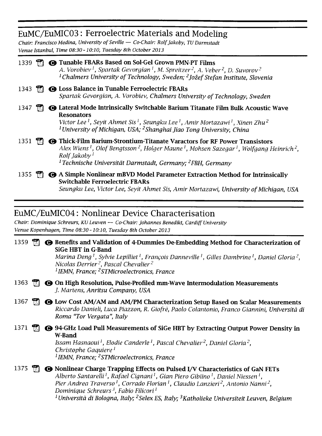## EuMC/EuMIC03: Ferroelectric Materials and Modeling

Chair: Francisco Medina, University ofSeville — Co-Chair: Rolfjakoby, TU Darmstadt Venue Istanbul, Time 08:30-10:10, Tuesday 8th October 2013

| 1339 |  | <b>Theory Tunable FBARs Based on Sol-Gel Grown PMN-PT Films</b><br>A. Vorobiev <sup>1</sup> , Spartak Gevorgian <sup>1</sup> , M. Spreitzer <sup>2</sup> , A. Veber <sup>2</sup> , D. Suvorov <sup>2</sup><br><sup>1</sup> Chalmers University of Technology, Sweden; <sup>2</sup> Jožef Stefan Institute, Slovenia                                     |
|------|--|---------------------------------------------------------------------------------------------------------------------------------------------------------------------------------------------------------------------------------------------------------------------------------------------------------------------------------------------------------|
| 1343 |  | <b>O Loss Balance in Tunable Ferroelectric FBARs</b><br>Spartak Gevorgian, A. Vorobiev, Chalmers University of Technology, Sweden                                                                                                                                                                                                                       |
| 1347 |  | <b>G</b> Lateral Mode Intrinsically Switchable Barium Titanate Film Bulk Acoustic Wave<br><b>Resonators</b><br>Victor Lee <sup>1</sup> , Seyit Ahmet Sis <sup>1</sup> , Seungku Lee <sup>1</sup> , Amir Mortazawi <sup>1</sup> , Xinen Zhu <sup>2</sup><br><sup>1</sup> University of Michigan, USA; <sup>2</sup> Shanghai Jiao Tong University, China  |
| 1351 |  | <b>G</b> Thick-Film Barium-Strontium-Titanate Varactors for RF Power Transistors<br>Alex Wiens <sup>1</sup> , Olof Bengtsson <sup>2</sup> , Holger Maune <sup>1</sup> , Mohsen Sazegar <sup>1</sup> , Wolfgang Heinrich <sup>2</sup> ,<br>Rolf Jakoby <sup>1</sup><br><sup>1</sup> Technische Universität Darmstadt, Germany; <sup>2</sup> FBH, Germany |
| 1355 |  | $\Box$ $\bullet$ A Simple Nonlinear mBVD Model Parameter Extraction Method for Intrinsically<br><b>Switchable Ferroelectric FBARs</b>                                                                                                                                                                                                                   |

Seungku Lee, Victor Lee, Seyit Ahmet Sis, Amir Mortazawi, University of Michigan, USA

### EuMC/EuMIC04: Nonlinear Device Characterisation

Chair: Dominique Schreurs, KU Leuven — Co-Chair: Johannes Benedikt, Cardiff University Venue Kopenhagen, Time 08:30-10:10, Tuesday 8th October 2013

|  | 1359 $\tilde{\mathbb{Z}}$ $\Theta$ Benefits and Validation of 4-Dummies De-Embedding Method for Characterization of                                                                                                           |
|--|-------------------------------------------------------------------------------------------------------------------------------------------------------------------------------------------------------------------------------|
|  | SiGe HBT in G-Band                                                                                                                                                                                                            |
|  | 그는 그 사람들은 그 사람들은 그 사람들을 지르며 그 사람들을 지르며 그 사람들을 지르며 그 사람들을 지르며 그 사람들을 지르며 그 사람들을 지르며 그 사람들을 지르며 그 사람들을 지르며 그 사람들을 지르며 그 사람들을 지르며 그 사람들을 지르며 그 사람들을 지르며 그 사람들을 지르며 그 사람들을 지르며 그 사람들을 지르며 그 사람들을 지르며 그 사람들을 지르며 그 사람들을 지르며 그 사람들을 |

Marina Deng<sup>1</sup>, Sylvie Lepilliet<sup>1</sup>, Francois Danneville<sup>1</sup>, Gilles Dambrine<sup>1</sup>, Daniel Gloria<sup>2</sup>, Nicolas Derrier<sup>2</sup>, Pascal Chevalier<sup>2</sup> <sup>1</sup> IEMN, France; <sup>2</sup>STMicroelectronics, France

- 1363  $\mathbb{R}$   $\Theta$  On High Resolution, Pulse-Profiled mm-Wave Intermodulation Measurements ./. Martens, Anritsu Company, USA
- 1367  $\mathbb{R}$   $\Theta$  Low Cost AM/AM and AM/PM Characterization Setup Based on Scalar Measurements Riccardo Danieli, Luca Piazzon, R. Giofrè, Paolo Colantonio, Franco Giannini, Università di Roma "Tor Vergata", Italy
- 1371  $\Box$   $\Theta$  94-GHz Load Pull Measurements of SiGe HBT by Extracting Output Power Density in W-Band Issam Hasnaoui<sup>1</sup>, Elodie Canderle<sup>1</sup>, Pascal Chevalier<sup>2</sup>, Daniel Gloria<sup>2</sup>, Christophe Gaquiere<sup>1</sup> <sup>1</sup>IEMN, France; <sup>2</sup>STMicroelectronics, France

#### 1375 **1375 O** Nonlinear Charge Trapping Effects on Pulsed I/V Characteristics of GaN FETs Alberto Santarelli<sup>1</sup>, Rafael Cignani<sup>1</sup>, Gian Piero Gibiino<sup>1</sup>, Daniel Niessen<sup>1</sup>, Pier Andrea Traverso<sup>1</sup>, Corrado Florian<sup>1</sup>, Claudio Lanzieri<sup>2</sup>, Antonio Nanni<sup>2</sup>, Dominique Schreurs<sup>3</sup>, Fabio Filicori<sup>1</sup> <sup>1</sup> Università di Bologna, Italy; <sup>2</sup> Selex ES, Italy; <sup>3</sup> Katholieke Universiteit Leuven, Belgium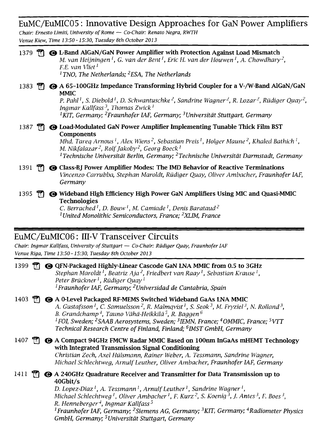## EuMC/EuMIC05: Innovative Design Approaches for GaN Power Amplifiers

Chair: Ernesto Limiti, University ofRome — Co-Chair: Renato Negra, RWTH Venue Kiew, Time 13:50-15:30, Tuesday 8th October 2013

| $1379$ M             | <b>@ L-Band AlGaN/GaN Power Amplifier with Protection Against Load Mismatch</b><br>M. van Heijningen <sup>1</sup> , G. van der Bent <sup>1</sup> , Eric H. van der Houwen <sup>1</sup> , A. Chowdhary <sup>2</sup> ,<br>F.E. van Vliet <sup>1</sup>                                                                      |
|----------------------|--------------------------------------------------------------------------------------------------------------------------------------------------------------------------------------------------------------------------------------------------------------------------------------------------------------------------|
|                      | <sup>1</sup> TNO, The Netherlands; <sup>2</sup> ESA, The Netherlands                                                                                                                                                                                                                                                     |
|                      | 1383 第 <b>@</b> A 65-100GHz Impedance Transforming Hybrid Coupler for a V-/W-Band AlGaN/GaN<br><b>MMIC</b>                                                                                                                                                                                                               |
|                      | P. Pahl <sup>1</sup> , S. Diebold <sup>1</sup> , D. Schwantuschke <sup>2</sup> , Sandrine Wagner <sup>2</sup> , R. Lozar <sup>2</sup> , Rüdiger Quay <sup>2</sup> ,<br>Ingmar Kallfass <sup>3</sup> , Thomas Zwick <sup>1</sup>                                                                                          |
|                      | <sup>1</sup> KIT, Germany; <sup>2</sup> Fraunhofer IAF, Germany; <sup>3</sup> Universität Stuttgart, Germany                                                                                                                                                                                                             |
| 1387                 | $\mathbb{T}$ $\Theta$ Load-Modulated GaN Power Amplifier Implementing Tunable Thick Film BST<br><b>Components</b>                                                                                                                                                                                                        |
|                      | Mhd. Tareq Arnous <sup>1</sup> , Alex Wiens <sup>2</sup> , Sebastian Preis <sup>1</sup> , Holger Maune <sup>2</sup> , Khaled Bathich <sup>1</sup> ,<br>M. Nikfalazar <sup>2</sup> , Rolf Jakoby <sup>2</sup> , Georg Boeck <sup>1</sup>                                                                                  |
|                      | <sup>1</sup> Technische Universität Berlin, Germany; <sup>2</sup> Technische Universität Darmstadt, Germany                                                                                                                                                                                                              |
| 1391                 | <b>The G</b> Class-BJ Power Amplifier Modes: The IMD Behavior of Reactive Terminations<br>Vincenzo Carrubba, Stephan Maroldt, Rüdiger Quay, Oliver Ambacher, Fraunhofer IAF,<br>Germany                                                                                                                                  |
| 1395<br>m            | <b>@</b> Wideband High Efficiency High Power GaN Amplifiers Using MIC and Quasi-MMIC<br><b>Technologies</b><br>C. Berrached <sup>1</sup> , D. Bouw <sup>1</sup> , M. Camiade <sup>1</sup> , Denis Barataud <sup>2</sup>                                                                                                  |
|                      | <sup>1</sup> United Monolithic Semiconductors, France; <sup>2</sup> XLIM, France                                                                                                                                                                                                                                         |
|                      |                                                                                                                                                                                                                                                                                                                          |
|                      | EuMC/EuMIC06: III-V Transceiver Circuits                                                                                                                                                                                                                                                                                 |
|                      | Chair: Ingmar Kallfass, University of Stuttgart - Co-Chair: Rüdiger Quay, Fraunhofer IAF                                                                                                                                                                                                                                 |
|                      | Venue Riga, Time 13:50 - 15:30, Tuesday 8th October 2013                                                                                                                                                                                                                                                                 |
| $\mathbb{E}$<br>1399 | <b>G</b> QFN-Packaged Highly-Linear Cascode GaN LNA MMIC from 0.5 to 3GHz<br>Stephan Maroldt <sup>1</sup> , Beatriz Aja <sup>2</sup> , Friedbert van Raay <sup>1</sup> , Sebastian Krause <sup>1</sup> ,<br>Peter Brückner <sup>1</sup> , Rüdiger Quay <sup>1</sup>                                                      |
|                      | <sup>1</sup> Fraunhofer IAF, Germany; <sup>2</sup> Universidad de Cantabria, Spain                                                                                                                                                                                                                                       |
| 1403<br>T٦           | A 0-Level Packaged RF-MEMS Switched Wideband GaAs LNA MMIC<br>A. Gustafsson <sup>1</sup> , C. Samuelsson <sup>2</sup> , R. Malmqvist <sup>1</sup> , S. Seok <sup>3</sup> , M. Fryziel <sup>3</sup> , N. Rolland <sup>3</sup> .<br>B. Grandchamp <sup>4</sup> , Tauno Vähä-Heikkilä <sup>5</sup> , R. Baggen <sup>6</sup> |
|                      | <sup>1</sup> FOI, Sweden; <sup>2</sup> SAAB Aerosystems, Sweden; <sup>3</sup> IEMN, France; <sup>4</sup> OMMIC, France; <sup>5</sup> VTT<br>Technical Research Centre of Finland, Finland; <sup>6</sup> IMST GmbH, Germany                                                                                               |
|                      |                                                                                                                                                                                                                                                                                                                          |
| T.                   | <b>● A Compact 94GHz FMCW Radar MMIC Based on 100nm InGaAs mHEMT Technology</b>                                                                                                                                                                                                                                          |
| 1407                 | with Integrated Transmission Signal Conditioning<br>Christian Zech, Axel Hülsmann, Rainer Weber, A. Tessmann, Sandrine Wagner,<br>Michael Schlechtweg, Arnulf Leuther, Oliver Ambacher, Fraunhofer IAF, Germany                                                                                                          |
| 1411<br>m            | <b>⊙</b> A 240GHz Quadrature Receiver and Transmitter for Data Transmission up to<br>40Gbit/s                                                                                                                                                                                                                            |

R. Henneberger <sup>+</sup>, Ingmar Kallfass <sup>></sup><br><sup>1</sup> Fraunhofer IAF, Germany; <sup>2</sup> Siemens AG, Germany; <sup>3</sup> KIT, Germany; <sup>4</sup> Radiometer Physics GmbH, Germany; <sup>5</sup>Universität Stuttgart, Germany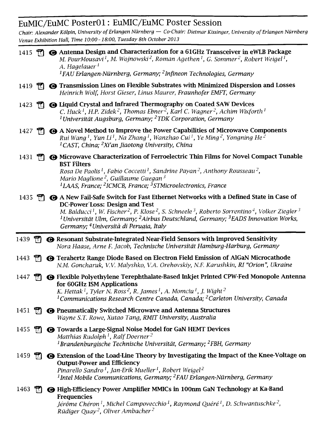## EuMIC/EuMC PosterOl: EuMIC/EuMC Poster Session

Chair: Alexander Kolpin, University of Erlangen Nurnberg — Co-Chair: Dietmar Kissinger, University ofErlangen Ntirnberg Venue Exhibition Hall, Time 10:00-18:00, Tuesday 8th October 2013

| 1415 $\frac{12}{10}$ |              | Antenna Design and Characterization for a 61GHz Transceiver in eWLB Package<br>M. PourMousavi <sup>1</sup> , M. Wojnowski <sup>2</sup> , Roman Agethen <sup>1</sup> , G. Sommer <sup>2</sup> , Robert Weigel <sup>1</sup> ,<br>A. Hagelauer <sup>1</sup>                                                                                                                                     |
|----------------------|--------------|----------------------------------------------------------------------------------------------------------------------------------------------------------------------------------------------------------------------------------------------------------------------------------------------------------------------------------------------------------------------------------------------|
|                      |              | <sup>1</sup> FAU Erlangen-Nürnberg, Germany; <sup>2</sup> Infineon Technologies, Germany                                                                                                                                                                                                                                                                                                     |
| 1419                 | T.           | <b>G</b> Transmission Lines on Flexible Substrates with Minimized Dispersion and Losses<br>Heinrich Wolf, Horst Gieser, Linus Maurer, Fraunhofer EMFT, Germany                                                                                                                                                                                                                               |
| 1423                 | $\mathbb{R}$ | <b>@ Liquid Crystal and Infrared Thermography on Coated SAW Devices</b><br>C. Huck <sup>1</sup> , H.P. Zidek <sup>2</sup> , Thomas Ebner <sup>2</sup> , Karl C. Wagner <sup>2</sup> , Achim Wixforth <sup>1</sup><br><sup>1</sup> Universität Augsburg, Germany; <sup>2</sup> TDK Corporation, Germany                                                                                       |
| 1427                 |              | <b>Theory A</b> Novel Method to Improve the Power Capabilities of Microwave Components<br>Rui Wang <sup>1</sup> , Yun Li <sup>1</sup> , Na Zhang <sup>1</sup> , Wanzhao Cui <sup>1</sup> , Ye Ming <sup>2</sup> , Yongning He <sup>2</sup><br><sup>1</sup> CAST, China; <sup>2</sup> Xi'an Jiaotong University, China                                                                        |
| 1431                 | $\mathbb{R}$ | <b>@ Microwave Characterization of Ferroelectric Thin Films for Novel Compact Tunable</b>                                                                                                                                                                                                                                                                                                    |
|                      |              | <b>BST Filters</b><br>Rosa De Paolis <sup>1</sup> , Fabio Coccetti <sup>1</sup> , Sandrine Payan <sup>2</sup> , Anthony Rousseau <sup>2</sup> ,<br>Mario Maglione <sup>2</sup> , Guillaume Guegan <sup>3</sup><br><sup>1</sup> LAAS, France; <sup>2</sup> ICMCB, France; <sup>3</sup> STMicroelectronics, France                                                                             |
|                      |              | 1435 [7] $\bigcirc$ A New Fail-Safe Switch for Fast Ethernet Networks with a Defined State in Case of                                                                                                                                                                                                                                                                                        |
|                      |              | <b>DC-Power Loss: Design and Test</b><br>M. Balducci <sup>1</sup> , W. Fischer <sup>2</sup> , P. Klose <sup>2</sup> , S. Schneele <sup>3</sup> , Roberto Sorrentino <sup>4</sup> , Volker Ziegler <sup>3</sup><br><sup>1</sup> Universität Ulm, Germany; <sup>2</sup> Airbus Deutschland, Germany; <sup>3</sup> EADS Innovation Works,<br>Germany; <sup>4</sup> Università di Perugia, Italy |
|                      |              |                                                                                                                                                                                                                                                                                                                                                                                              |
| 1439 $\mathbb{R}$    |              | <b>@ Resonant Substrate-Integrated Near-Field Sensors with Improved Sensitivity</b><br>Nora Haase, Arne F. Jacob, Technische Universität Hamburg-Harburg, Germany                                                                                                                                                                                                                            |
| 1443                 |              | <b>The One Terahertz Range Diode Based on Electron Field Emission of AlGaN Microcathode</b><br>N.M. Goncharuk, V.V. Malyshko, V.A. Orehovskiy, N.F. Karushkin, RI "Orion", Ukraine                                                                                                                                                                                                           |
| 1447                 |              | ← Flexible Polyethylene Terephthalate-Based Inkjet Printed CPW-Fed Monopole Antenna                                                                                                                                                                                                                                                                                                          |
|                      |              | for 60GHz ISM Applications<br>K. Hettak <sup>1</sup> , Tyler N. Ross <sup>2</sup> , R. James <sup>1</sup> , A. Momciu <sup>1</sup> , J. Wight <sup>2</sup><br><sup>1</sup> Communications Research Centre Canada, Canada; <sup>2</sup> Carleton University, Canada                                                                                                                           |
| 1451                 |              | <b>The Open Predically Switched Microwave and Antenna Structures</b><br>Wayne S.T. Rowe, Xutao Tang, RMIT University, Australia                                                                                                                                                                                                                                                              |
| 1455                 | $\mathbb{H}$ | <b>O</b> Towards a Large-Signal Noise Model for GaN HEMT Devices<br>Matthias Rudolph <sup>1</sup> , Ralf Doerner <sup>2</sup>                                                                                                                                                                                                                                                                |
|                      |              | <sup>1</sup> Brandenburgische Technische Universität, Germany; <sup>2</sup> FBH, Germany                                                                                                                                                                                                                                                                                                     |
| 1459                 | m            | <b>G</b> Extension of the Load-Line Theory by Investigating the Impact of the Knee-Voltage on<br><b>Output-Power and Efficiency</b><br>Pinarello Sandro <sup>1</sup> , Jan-Erik Mueller <sup>1</sup> , Robert Weigel <sup>2</sup><br><sup>1</sup> Intel Mobile Communications, Germany; <sup>2</sup> FAU Erlangen-Nürnberg, Germany                                                          |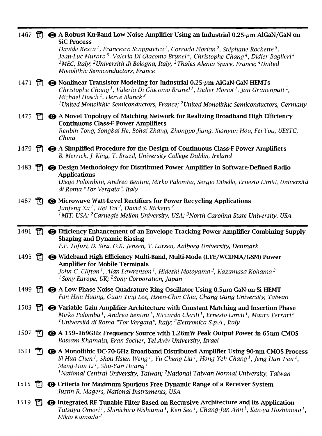| 1467 |              | <b>Theory A Robust Ku-Band Low Noise Amplifier Using an Industrial 0.25-</b> $\mu$ m AlGaN/GaN on<br><b>SiC Process</b>                                                                                                                                                                                                                                                                                                                           |
|------|--------------|---------------------------------------------------------------------------------------------------------------------------------------------------------------------------------------------------------------------------------------------------------------------------------------------------------------------------------------------------------------------------------------------------------------------------------------------------|
|      |              | Davide Resca <sup>1</sup> , Francesco Scappaviva <sup>1</sup> , Corrado Florian <sup>2</sup> , Stéphane Rochette <sup>3</sup> ,<br>Jean-Luc Muraro <sup>3</sup> , Valeria Di Giacomo Brunel <sup>4</sup> , Christophe Chang <sup>4</sup> , Didier Baglieri <sup>4</sup><br><sup>1</sup> MEC, Italy; <sup>2</sup> Università di Bologna, Italy; <sup>3</sup> Thales Alenia Space, France; <sup>4</sup> United<br>Monolithic Semiconductors, France |
| 1471 | $\mathbb{H}$ | $\bullet$ Nonlinear Transistor Modeling for Industrial 0.25- $\mu$ m AlGaN-GaN HEMTs<br>Christophe Chang <sup>1</sup> , Valeria Di Giacomo Brunel <sup>1</sup> , Didier Floriot <sup>1</sup> , Jan Grünenpütt <sup>2</sup> ,<br>Michael Hosch <sup>2</sup> , Hervé Blanck <sup>2</sup><br><sup>1</sup> United Monolithic Semiconductors, France; <sup>2</sup> United Monolithic Semiconductors, Germany                                           |
| 1475 | T.           | A Novel Topology of Matching Network for Realizing Broadband High Efficiency<br><b>Continuous Class-F Power Amplifiers</b><br>Renbin Tong, Songbai He, Bohai Zhang, Zhongpo Jiang, Xianyun Hou, Fei You, UESTC,<br>China                                                                                                                                                                                                                          |
| 1479 |              | $\mathbb{R}$ $\bullet$ A Simplified Procedure for the Design of Continuous Class-F Power Amplifiers<br>B. Merrick, J. King, T. Brazil, University College Dublin, Ireland                                                                                                                                                                                                                                                                         |
| 1483 | m            | <b>G</b> Design Methodology for Distributed Power Amplifier in Software-Defined Radio<br><b>Applications</b><br>Diego Palombini, Andrea Bentini, Mirko Palomba, Sergio Dibello, Ernesto Limiti, Università<br>di Roma "Tor Vergata", Italy                                                                                                                                                                                                        |
| 1487 |              | <b>THE OF Microwave Watt-Level Rectifiers for Power Recycling Applications</b><br>Junfeng Xu <sup>1</sup> , Wei Tai <sup>2</sup> , David S. Ricketts <sup>3</sup><br><sup>1</sup> MIT, USA; <sup>2</sup> Carnegie Mellon University, USA; <sup>3</sup> North Carolina State University, USA                                                                                                                                                       |
|      |              |                                                                                                                                                                                                                                                                                                                                                                                                                                                   |
| 1491 | T.           | <b>Efficiency Enhancement of an Envelope Tracking Power Amplifier Combining Supply</b><br><b>Shaping and Dynamic Biasing</b><br>F.F. Tafuri, D. Sira, O.K. Jensen, T. Larsen, Aalborg University, Denmark                                                                                                                                                                                                                                         |
| 1495 |              | <b>TR @ Wideband High Efficiency Multi-Band, Multi-Mode (LTE/WCDMA/GSM) Power</b><br><b>Amplifier for Mobile Terminals</b><br>John C. Clifton <sup>1</sup> , Alan Lawrenson <sup>1</sup> , Hideshi Motoyama <sup>2</sup> , Kazumasa Kohama <sup>2</sup><br><sup>1</sup> Sony Europe, UK; <sup>2</sup> Sony Corporation, Japan                                                                                                                     |
|      |              | 1499 $\Box$ $\Box$ A Low Phase Noise Quadrature Ring Oscillator Using 0.5 $\mu$ m GaN-on-Si HEMT<br>Fan-Hsiu Huang, Guan-Ting Lee, Hsien-Chin Chiu, Chang Gung University, Taiwan                                                                                                                                                                                                                                                                 |
| 1503 |              | $\mathbb{T}$ $\Theta$ Variable Gain Amplifier Architecture with Constant Matching and Insertion Phase<br>Mirko Palomba <sup>1</sup> , Andrea Bentini <sup>1</sup> , Riccardo Cleriti <sup>1</sup> , Ernesto Limiti <sup>1</sup> , Mauro Ferrari <sup>2</sup><br><sup>1</sup> Università di Roma "Tor Vergata", Italy; <sup>2</sup> Elettronica S.p.A., Italy                                                                                      |
|      |              | 1507 <sup>150</sup> $\Theta$ A 159-169GHz Frequency Source with 1.26mW Peak Output Power in 65nm CMOS<br>Bassam Khamaisi, Eran Socher, Tel Aviv University, Israel                                                                                                                                                                                                                                                                                |
| 1511 |              | <sup>1</sup> <sup>1</sup> $\bullet$ A Monolithic DC-70-GHz Broadband Distributed Amplifier Using 90-nm CMOS Process<br>Si-Hua Chen <sup>1</sup> , Shou-Hsien Weng <sup>1</sup> , Yu-Cheng Liu <sup>1</sup> , Hong-Yeh Chang <sup>1</sup> , Jeng-Han Tsai <sup>2</sup> .<br>Meng-Han Li <sup>1</sup> , Shu-Yan Huang <sup>1</sup><br><sup>1</sup> National Central University, Taiwan; <sup>2</sup> National Taiwan Normal University, Taiwan      |
| 1515 |              | $\mathbb{T}$ $\Theta$ Criteria for Maximum Spurious Free Dynamic Range of a Receiver System<br>Justin R. Magers, National Instruments, USA                                                                                                                                                                                                                                                                                                        |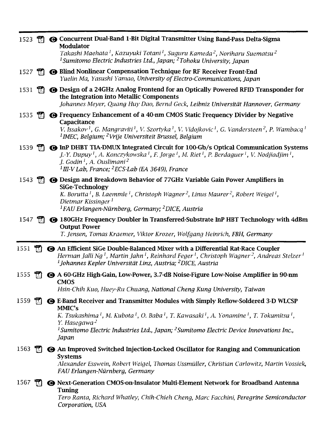|          |              | 1523 <sup>1</sup> $\odot$ Concurrent Dual-Band 1-Bit Digital Transmitter Using Band-Pass Delta-Sigma<br><b>Modulator</b>                                                                                                                                                                                                                                                                                                  |
|----------|--------------|---------------------------------------------------------------------------------------------------------------------------------------------------------------------------------------------------------------------------------------------------------------------------------------------------------------------------------------------------------------------------------------------------------------------------|
|          |              | Takashi Maehata <sup>1</sup> , Kazuyuki Totani <sup>1</sup> , Suguru Kameda <sup>2</sup> , Noriharu Suematsu <sup>2</sup><br><sup>1</sup> Sumitomo Electric Industries Ltd., Japan; <sup>2</sup> Tohoku University, Japan                                                                                                                                                                                                 |
| 1527     | $\mathbb{R}$ | <b>G</b> Blind Nonlinear Compensation Technique for RF Receiver Front-End<br>Yuelin Ma, Yasushi Yamao, University of Electro-Communications, Japan                                                                                                                                                                                                                                                                        |
|          |              | 1531 <b>R @</b> Design of a 24GHz Analog Frontend for an Optically Powered RFID Transponder for<br>the Integration into Metallic Components<br>Johannes Meyer, Quang Huy Dao, Bernd Geck, Leibniz Universität Hannover, Germany                                                                                                                                                                                           |
| 1535     |              | <b>Theorem CO</b> Frequency Enhancement of a 40-nm CMOS Static Frequency Divider by Negative<br>Capacitance<br>V. Issakov <sup>1</sup> , G. Mangraviti <sup>1</sup> , V. Szortyka <sup>1</sup> , V. Vidojkovic <sup>1</sup> , G. Vandersteen <sup>2</sup> , P. Wambacq <sup>1</sup><br><sup>1</sup> IMEC, Belgium; <sup>2</sup> Vrije Universiteit Brussel, Belgium                                                       |
| 1539     | $\mathbb{R}$ | <b>@ InP DHBT TIA-DMUX Integrated Circuit for 100-Gb/s Optical Communication Systems</b><br>J.-Y. Dupuy <sup>1</sup> , A. Konczykowska <sup>1</sup> , F. Jorge <sup>1</sup> , M. Riet <sup>1</sup> , P. Berdaguer <sup>1</sup> , V. Nodjiadjim <sup>1</sup> ,<br>J. Godin <sup>1</sup> , A. Ouslimani <sup>2</sup><br><sup>1</sup> III-V Lab, France; <sup>2</sup> ECS-Lab (EA 3649), France                              |
|          |              | 1543 <b>T. O</b> Design and Breakdown Behavior of 77GHz Variable Gain Power Amplifiers in<br><b>SiGe-Technology</b><br>K. Borutta <sup>1</sup> , B. Laemmle <sup>1</sup> , Christoph Wagner <sup>2</sup> , Linus Maurer <sup>2</sup> , Robert Weigel <sup>1</sup> ,<br>Dietmar Kissinger <sup>1</sup><br><sup>1</sup> FAU Erlangen-Nürnberg, Germany; <sup>2</sup> DICE, Austria                                          |
| $1547$ M |              | <b>← 180GHz Frequency Doubler in Transferred-Substrate InP HBT Technology with 4dBm</b><br><b>Output Power</b><br>T. Jensen, Tomas Kraemer, Viktor Krozer, Wolfgang Heinrich, FBH, Germany                                                                                                                                                                                                                                |
| 1551     | m            | An Efficient SiGe Double-Balanced Mixer with a Differential Rat-Race Coupler<br>Herman Jalli Ng <sup>1</sup> , Martin Jahn <sup>1</sup> , Reinhard Feger <sup>1</sup> , Christoph Wagner <sup>2</sup> , Andreas Stelzer <sup>1</sup><br><sup>1</sup> Johannes Kepler Universität Linz, Austria; <sup>2</sup> DICE, Austria                                                                                                |
| 1555     | m            | <b>← A 60-GHz High-Gain, Low-Power, 3.7-dB Noise-Figure Low-Noise Amplifier in 90-nm</b><br><b>CMOS</b><br>Hsin-Chih Kuo, Huey-Ru Chuang, National Cheng Kung University, Taiwan                                                                                                                                                                                                                                          |
| 1559     |              | <b>● E-Band Receiver and Transmitter Modules with Simply Reflow-Soldered 3-D WLCSP</b><br>MMIC's<br>K. Tsukashima <sup>1</sup> , M. Kubota <sup>1</sup> , O. Baba <sup>1</sup> , T. Kawasaki <sup>1</sup> , A. Yonamine <sup>1</sup> , T. Tokumitsu <sup>1</sup> ,<br>Y. Hasegawa <sup>2</sup><br><sup>1</sup> Sumitomo Electric Industries Ltd., Japan; <sup>2</sup> Sumitomo Electric Device Innovations Inc.,<br>Japan |
| 1563     |              | <b>← An Improved Switched Injection-Locked Oscillator for Ranging and Communication</b><br><b>Systems</b><br>Alexander Esswein, Robert Weigel, Thomas Ussmüller, Christian Carlowitz, Martin Vossiek,<br>FAU Erlangen-Nürnberg, Germany                                                                                                                                                                                   |
| 1567     |              | <b>G</b> Next-Generation CMOS-on-Insulator Multi-Element Network for Broadband Antenna<br>Tuning<br>Tero Ranta, Richard Whatley, Chih-Chieh Cheng, Marc Facchini, Peregrine Semiconductor<br>Corporation, USA                                                                                                                                                                                                             |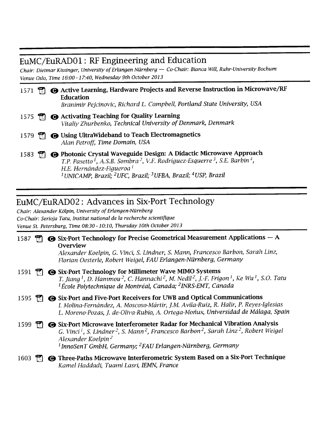## EuMC/EuRADOl: RF Engineering and Education

Chair: Dietmar Kissinger, University ofErlangen Niirnberg — Co-Chair: Bianca Will, Ruhr-University Bochum Venue Oslo, Time 16:00-17:40, Wednesday 9th October 2013

|  | 1571 [7] <b>@</b> Active Learning, Hardware Projects and Reverse Instruction in Microwave/RF<br><b>Education</b><br>Branimir Pejcinovic, Richard L. Campbell, Portland State University, USA                                                             |
|--|----------------------------------------------------------------------------------------------------------------------------------------------------------------------------------------------------------------------------------------------------------|
|  | 1575 <b>Theor</b> Activating Teaching for Quality Learning<br>Vitaliy Zhurbenko, Technical University of Denmark, Denmark                                                                                                                                |
|  | 1579 第 O Using UltraWideband to Teach Electromagnetics<br>Alan Petroff, Time Domain, USA                                                                                                                                                                 |
|  | 1583 [7] <b>@</b> Photonic Crystal Waveguide Design: A Didactic Microwave Approach<br>T.P. Pasetto <sup>1</sup> , A.S.B. Sombra <sup>2</sup> , V.F. Rodríguez-Esquerre <sup>3</sup> , S.E. Barbin <sup>4</sup> .<br>H.E. Hernández-Figueroa <sup>1</sup> |

 $^1$ UNICAMP, Brazil;  $^2$ UFC, Brazil;  $^3$ UFBA, Brazil;  $^4$ USP, Brazil

#### EuMC/EuRAD02: Advances in Six-Port Technology

Chair: Alexander Kölpin, University of Erlangen-Nürnberg Co-Chair: Serioja Tatu, Institut national de la recherche scientiflque Venue St. Petersburg, Time 08:30-10:10, Thursday 10th October 2013

|  | 1587 $\bigcirc$ Six-Port Technology for Precise Geometrical Measurement Applications – A |  |  |  |
|--|------------------------------------------------------------------------------------------|--|--|--|
|  | Overview                                                                                 |  |  |  |

Alexander Koelpin, G. Vinci, S. Lindner, S. Mann, Francesco Barbon, Sarah Linz, Florian Oestetie, Robert Weigel, FAU Erlangen-Nurnberg, Germany

- 1591 **(C)** Six-Port Technology for Millimeter Wave MIMO Systems T. Jiang<sup>1</sup>, D. Hammou<sup>2</sup>, C. Hannachi<sup>2</sup>, M. Nedil<sup>2</sup>, J.-F. Frigon<sup>1</sup>, Ke Wu<sup>1</sup>, S.O. Tatu  $1$ École Polytechnique de Montréal, Canada; <sup>2</sup>INRS-EMT, Canada
- 1595 <sup>2</sup>  $\bullet$  Six-Port and Five-Port Receivers for UWB and Optical Communications I. Molina-Fernández, A. Moscoso-Mártir, J.M. Avila-Ruiz, R. Halir, P. Reyes-Iglesias L. Moreno-Pozas, J. de-Oliva-Rubio, A. Ortega-Moñux, Universidad de Málaga, Spain
- 1599 **\*\***  $\bullet$  Six-Port Microwave Interferometer Radar for Mechanical Vibration Analysis G. Vinci<sup>1</sup>, S. Lindner<sup>2</sup>, S. Mann<sup>2</sup>, Francesco Barbon<sup>2</sup>, Sarah Linz<sup>2</sup>, Robert Weigel Alexander Koelpin <sup>2</sup>  $<sup>1</sup>$ InnoSenT GmbH, Germany; <sup>2</sup>FAU Erlangen-Nürnberg, Germany</sup>
- 1603 <sup>[7]</sup> O Three-Paths Microwave Interferometric System Based on a Six-Port Technique Kamel Haddadi, Tuami Lasri, IEMN, France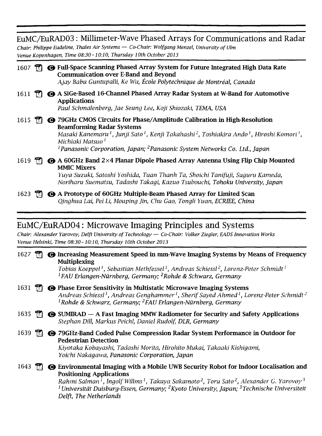| EuMC/EuRAD03: Millimeter-Wave Phased Arrays for Communications and Radar<br>Chair: Philippe Eudeline, Thales Air Systems — Co-Chair: Wolfgang Menzel, University of Ulm<br>Venue Kopenhagen, Time 08:30 - 10:10, Thursday 10th October 2013 |  |  |                                                                                                                                                                                                                                                                                                                                                                                                                  |  |
|---------------------------------------------------------------------------------------------------------------------------------------------------------------------------------------------------------------------------------------------|--|--|------------------------------------------------------------------------------------------------------------------------------------------------------------------------------------------------------------------------------------------------------------------------------------------------------------------------------------------------------------------------------------------------------------------|--|
| 1607                                                                                                                                                                                                                                        |  |  | ← Full-Space Scanning Phased Array System for Future Integrated High Data Rate<br><b>Communication over E-Band and Beyond</b><br>Ajay Babu Guntupalli, Ke Wu, École Polytechnique de Montréal, Canada                                                                                                                                                                                                            |  |
| 1611                                                                                                                                                                                                                                        |  |  | A SiGe-Based 16-Channel Phased Array Radar System at W-Band for Automotive<br><b>Applications</b><br>Paul Schmalenberg, Jae Seung Lee, Koji Shiozaki, TEMA, USA                                                                                                                                                                                                                                                  |  |
| 1615                                                                                                                                                                                                                                        |  |  | <b>●</b> 79GHz CMOS Circuits for Phase/Amplitude Calibration in High-Resolution<br><b>Beamforming Radar Systems</b><br>Masaki Kanemaru <sup>1</sup> , Junji Sato <sup>1</sup> , Kenji Takahashi <sup>2</sup> , Toshiakira Ando <sup>1</sup> , Hiroshi Komori <sup>1</sup> ,<br>Michiaki Matsuo <sup>I</sup><br><sup>1</sup> Panasonic Corporation, Japan; <sup>2</sup> Panasonic System Networks Co. Ltd., Japan |  |
| 1619                                                                                                                                                                                                                                        |  |  | <b>● A 60GHz Band 2×4 Planar Dipole Phased Array Antenna Using Flip Chip Mounted</b><br><b>MMIC Mixers</b><br>Yuya Suzuki, Satoshi Yoshida, Tuan Thanh Ta, Shoichi Tanifuji, Suquru Kameda,<br>Noriharu Suematsu, Tadashi Takagi, Kazuo Tsubouchi, Tohoku University, Japan                                                                                                                                      |  |
| 1623                                                                                                                                                                                                                                        |  |  | <b> ← A Prototype of 60GHz Multiple-Beam Phased Array for Limited Scan</b><br>Qinghua Lai, Pei Li, Mouping Jin, Chu Gao, Tongli Yuan, ECRIEE, China                                                                                                                                                                                                                                                              |  |

## EuMC/EuRAD04: Microwave Imaging Principles and Systems

Chair: Alexander Yarovoy, Delft University of Technology — Co-Chair: Volker Ziegler, EADS Innovation Works Venue Helsinki, Time 08:30-10:10, Thursday 10th October 2013

| 1627 |  | <b>O Increasing Measurement Speed in mm-Wave Imaging Systems by Means of Frequency</b><br><b>Multiplexing</b><br>Tobias Koeppel <sup>1</sup> , Sebastian Methfessel <sup>1</sup> , Andreas Schiessl <sup>2</sup> , Lorenz-Peter Schmidt <sup>1</sup><br><sup>1</sup> FAU Erlangen-Nürnberg, Germany; <sup>2</sup> Rohde & Schwarz, Germany                                                                                                     |
|------|--|------------------------------------------------------------------------------------------------------------------------------------------------------------------------------------------------------------------------------------------------------------------------------------------------------------------------------------------------------------------------------------------------------------------------------------------------|
| 1631 |  | <b>O Phase Error Sensitivity in Multistatic Microwave Imaging Systems</b><br>Andreas Schiessl <sup>1</sup> , Andreas Genghammer <sup>1</sup> , Sherif Sayed Ahmed <sup>1</sup> , Lorenz-Peter Schmidt <sup>2</sup><br><sup>1</sup> Rohde & Schwarz, Germany; <sup>2</sup> FAU Erlangen-Nürnberg, Germany                                                                                                                                       |
| 1635 |  | <b>G</b> SUMIRAD – A Fast Imaging MMW Radiometer for Security and Safety Applications<br>Stephan Dill, Markus Peichl, Daniel Rudolf, DLR, Germany                                                                                                                                                                                                                                                                                              |
| 1639 |  | <b>● 79GHz-Band Coded Pulse Compression Radar System Performance in Outdoor for</b><br><b>Pedestrian Detection</b><br>Kiyotaka Kobayashi, Tadashi Morita, Hirohito Mukai, Takaaki Kishigami,<br>Yoichi Nakagawa, Panasonic Corporation, Japan                                                                                                                                                                                                  |
| 1643 |  | <b>G</b> Environmental Imaging with a Mobile UWB Security Robot for Indoor Localisation and<br><b>Positioning Applications</b><br>Rahmi Salman <sup>1</sup> , Ingolf Willms <sup>1</sup> , Takuya Sakamoto <sup>2</sup> , Toru Sato <sup>2</sup> , Alexander G. Yarovoy <sup>3</sup><br><sup>1</sup> Universität Duisburg-Essen, Germany; <sup>2</sup> Kyoto University, Japan; <sup>3</sup> Technische Universiteit<br>Delft, The Netherlands |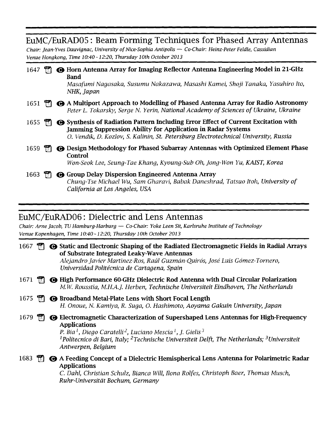#### EuMC/EuRAD05: Beam Forming Techniques for Phased Array Antennas

Chair: Jean-Yves Dauvignac, University of Nice-Sophia Antipolis — Co-Chair: Heinz-Peter Feldle, Cassidian Venue Hongkong, Time 10:40-12:20, Thursday 10th October 2013

| 1647 |    | <b>G</b> Horn Antenna Array for Imaging Reflector Antenna Engineering Model in 21-GHz<br>Band<br>Masafumi Nagasaka, Susumu Nakazawa, Masashi Kamei, Shoji Tanaka, Yasuhiro Ito,<br>NHK, Japan                                                            |
|------|----|----------------------------------------------------------------------------------------------------------------------------------------------------------------------------------------------------------------------------------------------------------|
| 1651 |    | $\Box$ $\Theta$ A Multiport Approach to Modelling of Phased Antenna Array for Radio Astronomy<br>Peter L. Tokarsky, Serge N. Yerin, National Academy of Sciences of Ukraine, Ukraine                                                                     |
| 1655 | T. | <b>G</b> Synthesis of Radiation Pattern Including Error Effect of Current Excitation with<br><b>Jamming Suppression Ability for Application in Radar Systems</b><br>O. Vendik, D. Kozlov, S. Kalinin, St. Petersburg Electrotechnical University. Russia |
| 1659 |    | <b>G</b> Design Methodology for Phased Subarray Antennas with Optimized Element Phase<br>Control<br>Won-Seok Lee, Seung-Tae Khang, Kyoung-Sub Oh, Jong-Won Yu, KAIST, Korea                                                                              |
| 1663 |    | <b>G</b> Group Delay Dispersion Engineered Antenna Array<br>Chung-Tse Michael Wu, Sam Gharavi, Babak Daneshrad, Tatsuo Itoh, University of<br>California at Los Angeles, USA                                                                             |

#### EuMC/EuRAD06: Dielectric and Lens Antennas

Chair: Arne Jacob, TU Hamburg-Harburg — Co-Chair: Yoke Leen Sit, Karlsruhe Institute of Technology Venue Kopenhagen, Time 10:40 -12:20, Thursday <sup>1</sup> Oth October 2013

| 1667 |  | <b>● Static and Electronic Shaping of the Radiated Electromagnetic Fields in Radial Arrays</b><br>of Substrate Integrated Leaky-Wave Antennas<br>Alejandro Javier Martinez-Ros, Raúl Guzmán-Quirós, José Luis Gómez-Tornero,<br>Universidad Politécnica de Cartagena, Spain                                                                                                                                      |
|------|--|------------------------------------------------------------------------------------------------------------------------------------------------------------------------------------------------------------------------------------------------------------------------------------------------------------------------------------------------------------------------------------------------------------------|
| 1671 |  | <b>G</b> High Performance 60-GHz Dielectric Rod Antenna with Dual Circular Polarization<br>M.W. Rousstia, M.H.A.J. Herben, Technische Universiteit Eindhoven, The Netherlands                                                                                                                                                                                                                                    |
| 1675 |  | <b>B</b> Broadband Metal-Plate Lens with Short Focal Length<br>H. Onoue, N. Kamiya, R. Suga, O. Hashimoto, Aoyama Gakuin University, Japan                                                                                                                                                                                                                                                                       |
| 1679 |  | <b>G</b> Electromagnetic Characterization of Supershaped Lens Antennas for High-Frequency<br><b>Applications</b><br>P. Bia <sup><math>l</math></sup> , Diego Caratelli <sup>2</sup> , Luciano Mescia <sup><math>l</math></sup> , J. Gielis <sup>3</sup><br><sup>1</sup> Politecnico di Bari, Italy; <sup>2</sup> Technische Universiteit Delft, The Netherlands; <sup>3</sup> Universiteit<br>Antwerpen, Belgium |
| 1683 |  | → A Feeding Concept of a Dielectric Hemispherical Lens Antenna for Polarimetric Radar<br><b>Applications</b><br>C. Dahl, Christian Schulz, Bianca Will, Ilona Rolfes, Christoph Baer, Thomas Musch,<br>Ruhr-Universität Bochum, Germany                                                                                                                                                                          |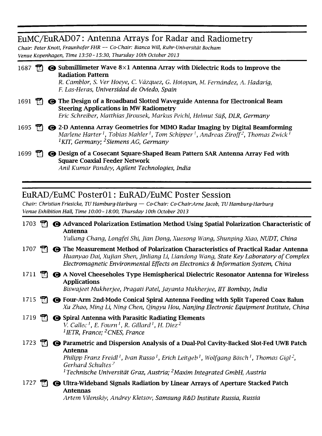#### EuMC/EuRAD07: Antenna Arrays for Radar and Radiometry

Chair: Peter Knott, Fraunhofer FHR — Co-Chair: Bianca Will, Ruhr-Universitdt Bochum Venue Kopenhagen, Time 13:50-15:30, Thursday 10th October 2013

| 1687 |      | $\odot$ Submillimeter Wave 8×1 Antenna Array with Dielectric Rods to Improve the<br><b>Radiation Pattern</b><br>R. Camblor, S. Ver Hoeye, C. Vázquez, G. Hotopan, M. Fernández, A. Hadarig,<br>F. Las-Heras, Universidad de Oviedo, Spain                                                            |
|------|------|------------------------------------------------------------------------------------------------------------------------------------------------------------------------------------------------------------------------------------------------------------------------------------------------------|
| 1691 |      | <b>The Design of a Broadband Slotted Waveguide Antenna for Electronical Beam</b><br><b>Steering Applications in MW Radiometry</b><br>Eric Schreiber, Matthias Jirousek, Markus Peichl, Helmut Süß, DLR, Germany                                                                                      |
| 1695 | TXI. | <b>◯</b> 2-D Antenna Array Geometries for MIMO Radar Imaging by Digital Beamforming<br>Marlene Harter <sup>1</sup> , Tobias Mahler <sup>1</sup> , Tom Schipper <sup>1</sup> , Andreas Ziroff <sup>2</sup> , Thomas Zwick <sup>1</sup><br><sup>1</sup> KIT, Germany; <sup>2</sup> Siemens AG, Germany |
| 1699 |      | <b>O Design of a Cosecant Square-Shaped Beam Pattern SAR Antenna Array Fed with</b>                                                                                                                                                                                                                  |

Square Coaxial Feeder Network Anil Kumar Pandey, Agilent Technologies, India

#### EuRAD/EuMC PosterOl: EuRAD/EuMC Poster Session

Chair: Christian Friesicke, TU Hamburg-Harburg — Co-Chair: Co-Chair:Ame Jacob, TUHamburg-Harburg Venue Exhibition Hall, Time 10:00-18:00, Thursday 10th October 2013

| 1703 |              | <b>← Advanced Polarization Estimation Method Using Spatial Polarization Characteristic of</b><br>Antenna<br>Yuliang Chang, Longfei Shi, Jian Dong, Xuesong Wang, Shunping Xiao, NUDT, China                                                                                                                                                                                                     |
|------|--------------|-------------------------------------------------------------------------------------------------------------------------------------------------------------------------------------------------------------------------------------------------------------------------------------------------------------------------------------------------------------------------------------------------|
| 1707 |              | $\Box$ $\Theta$ The Measurement Method of Polarization Characteristics of Practical Radar Antenna<br>Huanyao Dai, Xujian Shen, Jinliang Li, Liandong Wang, State Key Laboratory of Complex<br>Electromagnetic Environmental Effects on Electronics & Information System, China                                                                                                                  |
| 1711 |              | $\mathbb{E}$ $\Theta$ A Novel Cheeseholes Type Hemispherical Dielectric Resonator Antenna for Wireless<br><b>Applications</b><br>Biswajeet Mukherjee, Pragati Patel, Jayanta Mukherjee, IIT Bombay, India                                                                                                                                                                                       |
| 1715 |              | $\mathbb{T}$ $\Theta$ Four-Arm 2nd-Mode Conical Spiral Antenna Feeding with Split Tapered Coax Balun<br>Xu Zhao, Ming Li, Ning Chen, Qingyu Hou, Nanjing Electronic Equipment Institute, China                                                                                                                                                                                                  |
| 1719 | $\mathbf{T}$ | <b>O</b> Spiral Antenna with Parasitic Radiating Elements<br>V. Callec <sup>1</sup> , E. Fourn <sup>1</sup> , R. Gillard <sup>1</sup> , H. Diez <sup>2</sup><br><sup>1</sup> IETR, France; <sup>2</sup> CNES, France                                                                                                                                                                            |
| 1723 |              | <b>@</b> Parametric and Dispersion Analysis of a Dual-Pol Cavity-Backed Slot-Fed UWB Patch<br>Antenna<br>Philipp Franz Freidl <sup>1</sup> , Ivan Russo <sup>1</sup> , Erich Leitgeb <sup>1</sup> , Wolfgang Bösch <sup>1</sup> , Thomas Gigl <sup>2</sup> ,<br>Gerhard Schultes <sup>2</sup><br><sup>1</sup> Technische Universität Graz, Austria; <sup>2</sup> Maxim Integrated GmbH, Austria |
| 1727 |              | <b>G</b> Ultra-Wideband Signals Radiation by Linear Arrays of Aperture Stacked Patch<br><b>Antennas</b><br>A contract $E(t)$ and $E(t)$ and $E(t)$ and $E(t)$ are contracted in $\mathbf{B}$ . On $\mathbf{B}$ and $\mathbf{B}$ are contracted in $\mathbf{B}$ and $\mathbf{B}$ are contracted in $\mathbf{B}$ and $\mathbf{B}$ are contracted in $\mathbf{B}$ and $\mathbf{B}$                 |

Artem Vilenskiy, Andrey Kletsov, Samsung R&D Institute Russia, Russia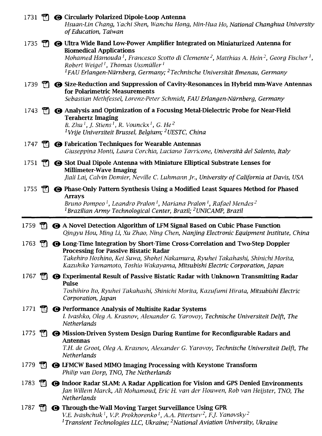|          |              | 1731 <sup>1</sup> • Circularly Polarized Dipole-Loop Antenna<br>Hsuan-Lin Chang, Yachi Shen, Wanchu Hong, Min-Hua Ho, National Changhua University<br>of Education, Taiwan                                                                                                                                                                                                                                                                            |
|----------|--------------|-------------------------------------------------------------------------------------------------------------------------------------------------------------------------------------------------------------------------------------------------------------------------------------------------------------------------------------------------------------------------------------------------------------------------------------------------------|
|          |              | 1735 <sup>1</sup> <b>O</b> Ultra Wide Band Low-Power Amplifier Integrated on Miniaturized Antenna for<br><b>Biomedical Applications</b><br>Mohamed Hamouda <sup>1</sup> , Francesco Scotto di Clemente <sup>2</sup> , Matthias A. Hein <sup>2</sup> , Georg Fischer <sup>1</sup> ,<br>Robert Weigel <sup>1</sup> , Thomas Ussmüller <sup>1</sup><br><sup>1</sup> FAU Erlangen-Nürnberg, Germany; <sup>2</sup> Technische Universität Ilmenau, Germany |
| $1739$ M |              | <b> Size-Reduction and Suppression of Cavity-Resonances in Hybrid mm-Wave Antennas</b><br>for Polarimetric Measurements<br>Sebastian Methfessel, Lorenz-Peter Schmidt, FAU Erlangen-Nürnberg, Germany                                                                                                                                                                                                                                                 |
|          |              | 1743 [7] $\bullet$ Analysis and Optimization of a Focusing Metal-Dielectric Probe for Near-Field<br><b>Terahertz Imaging</b><br>B. Zhu <sup>1</sup> , J. Stiens <sup>1</sup> , R. Vounckx <sup>1</sup> , G. He <sup>2</sup><br><sup>1</sup> Vrije Universiteit Brussel, Belgium; <sup>2</sup> UESTC, China                                                                                                                                            |
|          |              | 1747 <b>D</b> Fabrication Techniques for Wearable Antennas<br>Giuseppina Monti, Laura Corchia, Luciano Tarricone, Università del Salento, Italy                                                                                                                                                                                                                                                                                                       |
| 1751     | $\mathbb{F}$ | <b>G</b> Slot Dual Dipole Antenna with Miniature Elliptical Substrate Lenses for<br><b>Millimeter-Wave Imaging</b><br>Jiali Lai, Calvin Domier, Neville C. Luhmann Jr., University of California at Davis, USA                                                                                                                                                                                                                                        |
| 1755     | m.           | <b>G</b> Phase-Only Pattern Synthesis Using a Modified Least Squares Method for Phased<br><b>Arrays</b><br>Bruno Pompeo <sup>1</sup> , Leandro Pralon <sup>1</sup> , Mariana Pralon <sup>1</sup> , Rafael Mendes <sup>2</sup><br><sup>1</sup> Brazilian Army Technological Center, Brazil; <sup>2</sup> UNICAMP, Brazil                                                                                                                               |
|          |              |                                                                                                                                                                                                                                                                                                                                                                                                                                                       |
| 1759     |              | $\mathbb{R}$ $\bullet$ A Novel Detection Algorithm of LFM Signal Based on Cubic Phase Function<br>Qingyu Hou, Ming Li, Xu Zhao, Ning Chen, Nanjing Electronic Equipment Institute, China                                                                                                                                                                                                                                                              |
| 1763     |              | <b>The Consecution Conservation by Short-Time Cross-Correlation and Two-Step Doppler</b><br><b>Processing for Passive Bistatic Radar</b><br>Takehiro Hoshino, Kei Suwa, Shohei Nakamura, Ryuhei Takahashi, Shinichi Morita,<br>Kazuhiko Yamamoto, Toshio Wakayama, Mitsubishi Electric Corporation, Japan                                                                                                                                             |
| 1767     | m            | <b> ← Experimental Result of Passive Bistatic Radar with Unknown Transmitting Radar</b><br><b>Pulse</b><br>Toshihiro Ito, Ryuhei Takahashi, Shinichi Morita, Kazufumi Hirata, Mitsubishi Electric<br>Corporation, Japan                                                                                                                                                                                                                               |
| 1771     |              | <b>The O</b> Performance Analysis of Multisite Radar Systems<br>I. Ivashko, Oleg A. Krasnov, Alexander G. Yarovoy, Technische Universiteit Delft, The<br><b>Netherlands</b>                                                                                                                                                                                                                                                                           |
| 1775     | m            | <b>@ Mission-Driven System Design During Runtime for Reconfigurable Radars and</b><br><b>Antennas</b><br>T.H. de Groot, Oleg A. Krasnov, Alexander G. Yarovoy, Technische Universiteit Delft, The<br><b>Netherlands</b>                                                                                                                                                                                                                               |
| 1779     | m            | <b>G LFMCW Based MIMO Imaging Processing with Keystone Transform</b><br>Philip van Dorp, TNO, The Netherlands                                                                                                                                                                                                                                                                                                                                         |
| 1783     | TA.          | <b>G Indoor Radar SLAM: A Radar Application for Vision and GPS Denied Environments</b><br>Jan Willem Marck, Ali Mohamoud, Eric H. van der Houwen, Rob van Heijster, TNO, The<br>Netherlands                                                                                                                                                                                                                                                           |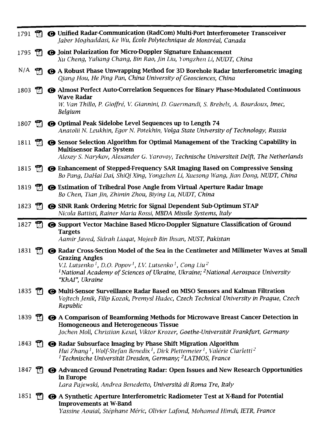| 1791 |              | <b>Ti</b> $\Theta$ Unified Radar-Communication (RadCom) Multi-Port Interferometer Transceiver<br>Jaber Moghaddasi, Ke Wu, École Polytechnique de Montréal, Canada                                                                                                                                                                                                   |
|------|--------------|---------------------------------------------------------------------------------------------------------------------------------------------------------------------------------------------------------------------------------------------------------------------------------------------------------------------------------------------------------------------|
| 1795 |              | <b>The Open Struth Polarization for Micro-Doppler Signature Enhancement</b><br>Xu Cheng, Yuliang Chang, Bin Rao, Jin Liu, Yongzhen Li, NUDT, China                                                                                                                                                                                                                  |
| N/A  |              | A Robust Phase Unwrapping Method for 3D Borehole Radar Interferometric imaging<br>Qiang Hou, He Ping Pan, China University of Geosciences, China                                                                                                                                                                                                                    |
| 1803 | $\mathbb{H}$ | Almost Perfect Auto-Correlation Sequences for Binary Phase-Modulated Continuous<br><b>Wave Radar</b><br>W. Van Thillo, P. Gioffré, V. Giannini, D. Guermandi, S. Brebels, A. Bourdoux, Imec,<br>Belgium                                                                                                                                                             |
| 1807 |              | <b>T @</b> Optimal Peak Sidelobe Level Sequences up to Length 74<br>Anatolii N. Leukhin, Egor N. Potekhin, Volga State University of Technology, Russia                                                                                                                                                                                                             |
| 1811 |              | $\mathbb{R}$ $\bullet$ Sensor Selection Algorithm for Optimal Management of the Tracking Capability in<br><b>Multisensor Radar System</b><br>Alexey S. Narykov, Alexander G. Yarovoy, Technische Universiteit Delft, The Netherlands                                                                                                                                |
| 1815 |              | <b>The Online Enhancement of Stepped-Frequency SAR Imaging Based on Compressive Sensing</b><br>Bo Pang, DaHai Dai, ShiQi Xing, Yongzhen Li, Xuesong Wang, Jian Dong, NUDT, China                                                                                                                                                                                    |
| 1819 |              | $\mathbb{R}$ $\bullet$ Estimation of Trihedral Pose Angle from Virtual Aperture Radar Image<br>Bo Chen, Tian Jin, Zhimin Zhou, Biying Lu, NUDT, China                                                                                                                                                                                                               |
| 1823 |              | <b>Theory SINR Rank Ordering Metric for Signal Dependent Sub-Optimum STAP</b><br>Nicola Battisti, Rainer Maria Rossi, MBDA Missile Systems, Italy                                                                                                                                                                                                                   |
| 1827 |              | <b>G</b> Support Vector Machine Based Micro-Doppler Signature Classification of Ground<br><b>Targets</b>                                                                                                                                                                                                                                                            |
|      |              | Aamir Javed, Sidrah Liagat, Mojeeb Bin Ihsan, NUST, Pakistan                                                                                                                                                                                                                                                                                                        |
| 1831 | m            | <b>⊙ Radar Cross-Section Model of the Sea in the Centimeter and Millimeter Waves at Small</b><br><b>Grazing Angles</b><br>V.I. Lutsenko <sup>1</sup> , D.O. Popov <sup>1</sup> , I.V. Lutsenko <sup>1</sup> , Cong Liu <sup>2</sup><br><sup>1</sup> National Academy of Sciences of Ukraine, Ukraine; <sup>2</sup> National Aerospace University<br>"KhAI", Ukraine |
| 1835 | $\mathbb{R}$ | <b>@ Multi-Sensor Surveillance Radar Based on MISO Sensors and Kalman Filtration</b><br>Vojtech Jenik, Filip Kozak, Premysl Hudec, Czech Technical University in Prague, Czech<br>Republic                                                                                                                                                                          |
| 1839 |              | <b>TO</b> A Comparison of Beamforming Methods for Microwave Breast Cancer Detection in<br><b>Homogeneous and Heterogeneous Tissue</b><br>Jochen Moll, Christian Kexel, Viktor Krozer, Goethe-Universität Frankfurt, Germany                                                                                                                                         |
| 1843 |              | $\Box$ $\Theta$ Radar Subsurface Imaging by Phase Shift Migration Algorithm<br>Hui Zhang <sup>1</sup> , Wolf-Stefan Benedix <sup>1</sup> , Dirk Plettemeier <sup>1</sup> , Valérie Ciarletti <sup>2</sup><br><sup>1</sup> Technische Universität Dresden, Germany; <sup>2</sup> LATMOS, France                                                                      |
| 1847 | T.           | <b>● Advanced Ground Penetrating Radar: Open Issues and New Research Opportunities</b><br>in Europe<br>Lara Pajewski, Andrea Benedetto, Università di Roma Tre, Italy                                                                                                                                                                                               |